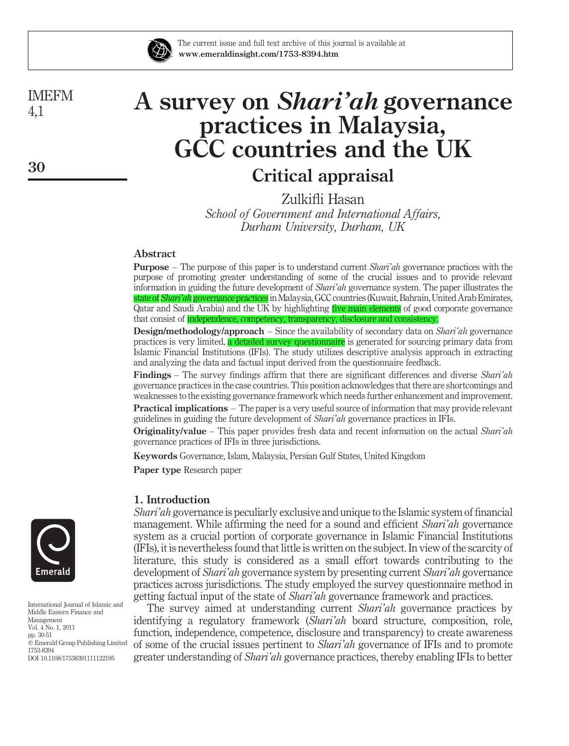

The current issue and full text archive of this journal is available at www.emeraldinsight.com/1753-8394.htm

IMEFM 4,1

# A survey on Shari'ah governance practices in Malaysia, GCC countries and the UK

# Critical appraisal

Zulkifli Hasan School of Government and International Affairs, Durham University, Durham, UK

# Abstract

**Purpose** – The purpose of this paper is to understand current *Shari'ah* governance practices with the purpose of promoting greater understanding of some of the crucial issues and to provide relevant information in guiding the future development of Shari'ah governance system. The paper illustrates the state of *Shari'ah* governance practices in Malaysia, GCC countries (Kuwait, Bahrain, United Arab Emirates, Qatar and Saudi Arabia) and the UK by highlighting five main elements of good corporate governance that consist of independence, competency, transparency, disclosure and consistency.

**Design/methodology/approach** – Since the availability of secondary data on *Shari'ah* governance practices is very limited, a detailed survey questionnaire is generated for sourcing primary data from Islamic Financial Institutions (IFIs). The study utilizes descriptive analysis approach in extracting and analyzing the data and factual input derived from the questionnaire feedback.

Findings – The survey findings affirm that there are significant differences and diverse Shari'ah governance practices in the case countries. This position acknowledges that there are shortcomings and weaknesses to the existing governance framework which needs further enhancement and improvement. Practical implications – The paper is a very useful source of information that may provide relevant guidelines in guiding the future development of Shari'ah governance practices in IFIs.

**Originality/value** – This paper provides fresh data and recent information on the actual Shari'ah governance practices of IFIs in three jurisdictions.

Keywords Governance, Islam, Malaysia, Persian Gulf States, United Kingdom

Paper type Research paper

# 1. Introduction

Shari'ah governance is peculiarly exclusive and unique to the Islamic system of financial management. While affirming the need for a sound and efficient Shari'ah governance system as a crucial portion of corporate governance in Islamic Financial Institutions (IFIs), it is nevertheless found that little is written on the subject. In view of the scarcity of literature, this study is considered as a small effort towards contributing to the development of Shari'ah governance system by presenting current Shari'ah governance practices across jurisdictions. The study employed the survey questionnaire method in getting factual input of the state of Shari'ah governance framework and practices.

The survey aimed at understanding current *Shari'ah* governance practices by identifying a regulatory framework (Shari'ah board structure, composition, role, function, independence, competence, disclosure and transparency) to create awareness of some of the crucial issues pertinent to Shari'ah governance of IFIs and to promote greater understanding of *Shari'ah* governance practices, thereby enabling IFIs to better



International Journal of Islamic and Middle Eastern Finance and Management Vol. 4 No. 1, 2011 pp. 30-51  $\degree$  Emerald Group Publishing Limited 1753-8394 DOI 10.1108/17538391111122195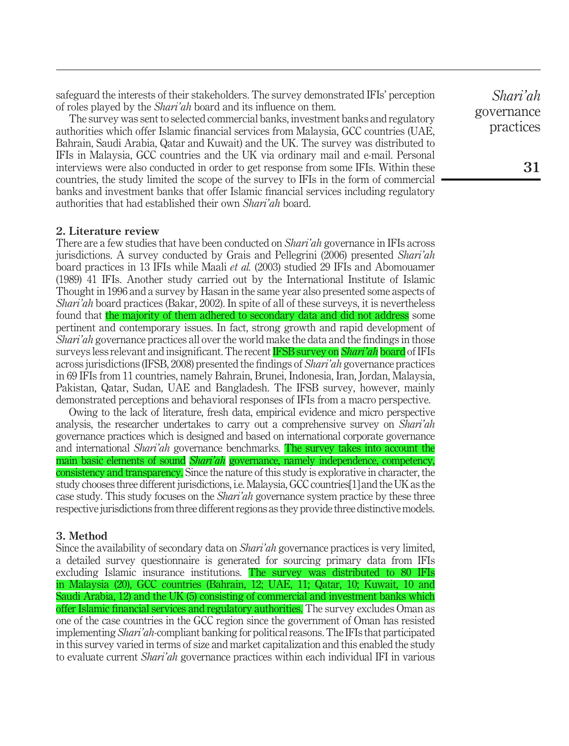safeguard the interests of their stakeholders. The survey demonstrated IFIs' perception of roles played by the Shari'ah board and its influence on them.

The survey was sent to selected commercial banks, investment banks and regulatory authorities which offer Islamic financial services from Malaysia, GCC countries (UAE, Bahrain, Saudi Arabia, Qatar and Kuwait) and the UK. The survey was distributed to IFIs in Malaysia, GCC countries and the UK via ordinary mail and e-mail. Personal interviews were also conducted in order to get response from some IFIs. Within these countries, the study limited the scope of the survey to IFIs in the form of commercial banks and investment banks that offer Islamic financial services including regulatory authorities that had established their own Shari'ah board.

#### 2. Literature review

There are a few studies that have been conducted on *Shari'ah* governance in IFIs across jurisdictions. A survey conducted by Grais and Pellegrini (2006) presented *Shari'ah* board practices in 13 IFIs while Maali et al. (2003) studied 29 IFIs and Abomouamer (1989) 41 IFIs. Another study carried out by the International Institute of Islamic Thought in 1996 and a survey by Hasan in the same year also presented some aspects of Shari'ah board practices (Bakar, 2002). In spite of all of these surveys, it is nevertheless found that the majority of them adhered to secondary data and did not address some pertinent and contemporary issues. In fact, strong growth and rapid development of Shari'ah governance practices all over the world make the data and the findings in those surveys less relevant and insignificant. The recent IFSB survey on *Shari'ah* board of IFIs across jurisdictions (IFSB, 2008) presented the findings of Shari'ah governance practices in 69 IFIs from 11 countries, namely Bahrain, Brunei, Indonesia, Iran, Jordan, Malaysia, Pakistan, Qatar, Sudan, UAE and Bangladesh. The IFSB survey, however, mainly demonstrated perceptions and behavioral responses of IFIs from a macro perspective.

Owing to the lack of literature, fresh data, empirical evidence and micro perspective analysis, the researcher undertakes to carry out a comprehensive survey on *Shari'ah* governance practices which is designed and based on international corporate governance and international Shari'ah governance benchmarks. The survey takes into account the main basic elements of sound *Shari'ah* governance, namely independence, competency, consistency and transparency. Since the nature of this study is explorative in character, the study chooses three different jurisdictions, i.e. Malaysia, GCC countries[1] and the UK as the case study. This study focuses on the *Shari'ah* governance system practice by these three respective jurisdictions from three different regions as they provide three distinctive models.

#### 3. Method

Since the availability of secondary data on Shari'ah governance practices is very limited, a detailed survey questionnaire is generated for sourcing primary data from IFIs excluding Islamic insurance institutions. The survey was distributed to 80 IFIs in Malaysia (20), GCC countries (Bahrain, 12; UAE, 11; Qatar, 10; Kuwait, 10 and Saudi Arabia, 12) and the UK (5) consisting of commercial and investment banks which offer Islamic financial services and regulatory authorities. The survey excludes Oman as one of the case countries in the GCC region since the government of Oman has resisted implementing Shari'ah-compliant banking for political reasons. The IFIs that participated in this survey varied in terms of size and market capitalization and this enabled the study to evaluate current *Shari'ah* governance practices within each individual IFI in various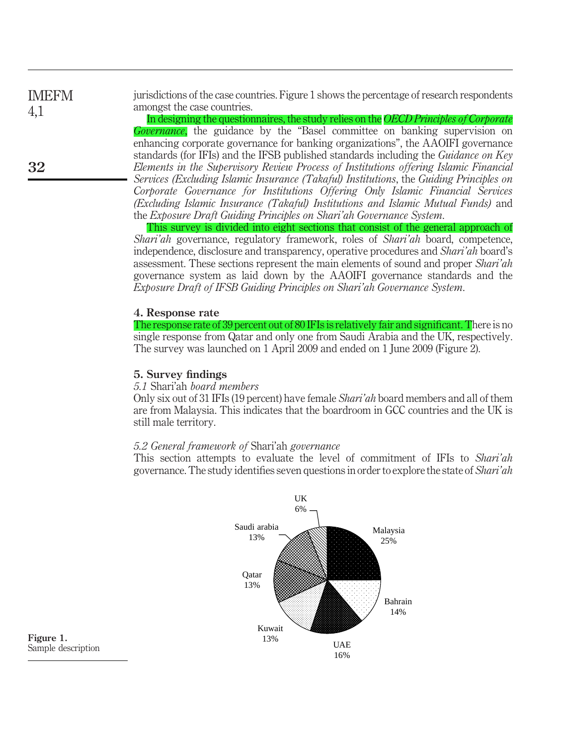jurisdictions of the case countries. Figure 1 shows the percentage of research respondents amongst the case countries. In designing the questionnaires, the study relies on the OECD Principles of Corporate IMEFM 4,1

Governance, the guidance by the "Basel committee on banking supervision on enhancing corporate governance for banking organizations", the AAOIFI governance standards (for IFIs) and the IFSB published standards including the Guidance on Key Elements in the Supervisory Review Process of Institutions offering Islamic Financial Services (Excluding Islamic Insurance (Takaful) Institutions, the Guiding Principles on Corporate Governance for Institutions Offering Only Islamic Financial Services (Excluding Islamic Insurance (Takaful) Institutions and Islamic Mutual Funds) and the Exposure Draft Guiding Principles on Shari'ah Governance System.

This survey is divided into eight sections that consist of the general approach of Shari'ah governance, regulatory framework, roles of Shari'ah board, competence, independence, disclosure and transparency, operative procedures and Shari'ah board's assessment. These sections represent the main elements of sound and proper Shari'ah governance system as laid down by the AAOIFI governance standards and the Exposure Draft of IFSB Guiding Principles on Shari'ah Governance System.

#### 4. Response rate

The response rate of 39 percent out of 80 IFIs is relatively fair and significant. There is no single response from Qatar and only one from Saudi Arabia and the UK, respectively. The survey was launched on 1 April 2009 and ended on 1 June 2009 (Figure 2).

#### 5. Survey findings

#### 5.1 Shari'ah board members

Only six out of 31 IFIs (19 percent) have female Shari'ah board members and all of them are from Malaysia. This indicates that the boardroom in GCC countries and the UK is still male territory.

#### 5.2 General framework of Shari'ah governance

This section attempts to evaluate the level of commitment of IFIs to Shari'ah governance. The study identifies seven questions in order to explore the state of Shari'ah



Figure 1. Sample description

32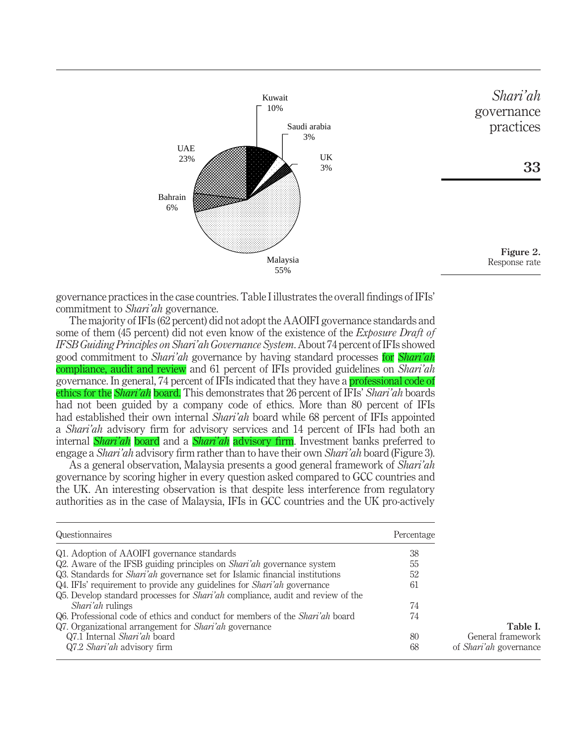

governance practices in the case countries. Table I illustrates the overall findings of IFIs' commitment to Shari'ah governance.

The majority of IFIs (62 percent) did not adopt the AAOIFI governance standards and some of them (45 percent) did not even know of the existence of the *Exposure Draft of* IFSB Guiding Principles on Shari'ah Governance System. About 74 percent of IFIs showed good commitment to *Shari'ah* governance by having standard processes for *Shari'ah* compliance, audit and review and 61 percent of IFIs provided guidelines on Shari'ah governance. In general, 74 percent of IFIs indicated that they have a professional code of ethics for the *Shari'ah* board. This demonstrates that 26 percent of IFIs' *Shari'ah* boards had not been guided by a company code of ethics. More than 80 percent of IFIs had established their own internal *Shari'ah* board while 68 percent of IFIs appointed a Shari'ah advisory firm for advisory services and 14 percent of IFIs had both an internal *Shari'ah* board and a *Shari'ah* advisory firm. Investment banks preferred to engage a Shari'ah advisory firm rather than to have their own Shari'ah board (Figure 3).

As a general observation, Malaysia presents a good general framework of *Shari'ah* governance by scoring higher in every question asked compared to GCC countries and the UK. An interesting observation is that despite less interference from regulatory authorities as in the case of Malaysia, IFIs in GCC countries and the UK pro-actively

| Questionnaires                                                                         | Percentage |                               |
|----------------------------------------------------------------------------------------|------------|-------------------------------|
| Q1. Adoption of AAOIFI governance standards                                            | 38         |                               |
| Q2. Aware of the IFSB guiding principles on <i>Shari'ah</i> governance system          | 55         |                               |
| Q3. Standards for <i>Shari'ah</i> governance set for Islamic financial institutions    | 52         |                               |
| Q4. IFIs' requirement to provide any guidelines for <i>Shari'ah</i> governance         | 61         |                               |
| Q5. Develop standard processes for <i>Shari'ah</i> compliance, audit and review of the |            |                               |
| <i>Shari'ah</i> rulings                                                                | 74         |                               |
| Q6. Professional code of ethics and conduct for members of the <i>Shari'ah</i> board   | 74         |                               |
| Q7. Organizational arrangement for <i>Shari'ah</i> governance                          |            | Table I.                      |
| Q7.1 Internal Shari'ah board                                                           | 80         | General framework             |
| Q7.2 Shari'ah advisory firm                                                            | 68         | of <i>Shari'ah</i> governance |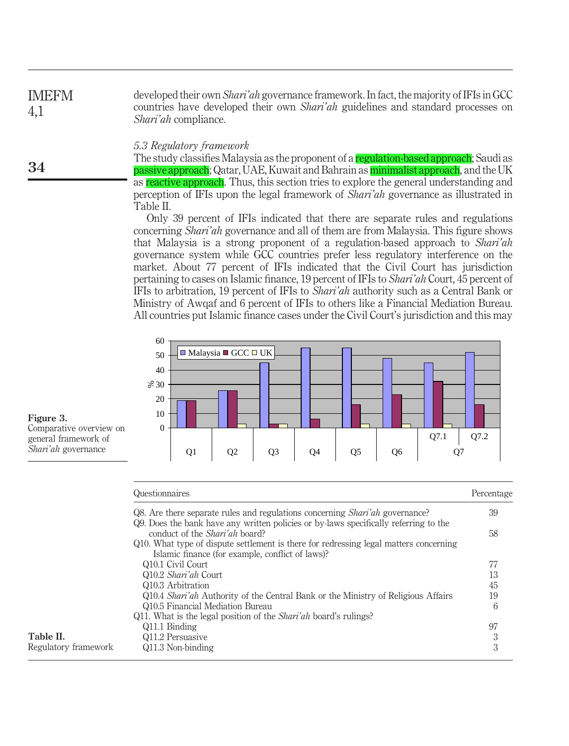| <b>IMEFM</b> | developed their own <i>Shari'ah</i> governance framework. In fact, the majority of IFIs in GCC |
|--------------|------------------------------------------------------------------------------------------------|
| 4,1          | countries have developed their own <i>Shari'ah</i> guidelines and standard processes on        |
|              | <i>Shari'ah</i> compliance.                                                                    |

#### 5.3 Regulatory framework

The study classifies Malaysia as the proponent of a regulation-based approach; Saudi as passive approach; Qatar, UAE, Kuwait and Bahrain as *minimalist approach*, and the UK as reactive approach. Thus, this section tries to explore the general understanding and perception of IFIs upon the legal framework of Shari'ah governance as illustrated in Table II.

Only 39 percent of IFIs indicated that there are separate rules and regulations concerning Shari'ah governance and all of them are from Malaysia. This figure shows that Malaysia is a strong proponent of a regulation-based approach to Shari'ah governance system while GCC countries prefer less regulatory interference on the market. About 77 percent of IFIs indicated that the Civil Court has jurisdiction pertaining to cases on Islamic finance, 19 percent of IFIs to Shari'ah Court, 45 percent of IFIs to arbitration, 19 percent of IFIs to Shari'ah authority such as a Central Bank or Ministry of Awqaf and 6 percent of IFIs to others like a Financial Mediation Bureau. All countries put Islamic finance cases under the Civil Court's jurisdiction and this may



Figure 3. Comparative overview on general framework of Shari'ah governance

34

|                      | Questionnaires                                                                                                                            | Percentage |
|----------------------|-------------------------------------------------------------------------------------------------------------------------------------------|------------|
|                      | Q8. Are there separate rules and regulations concerning <i>Shari'ah</i> governance?                                                       | 39         |
|                      | Q9. Does the bank have any written policies or by-laws specifically referring to the<br>conduct of the <i>Shari'ah</i> board?             | 58         |
|                      | Q10. What type of dispute settlement is there for redressing legal matters concerning<br>Islamic finance (for example, conflict of laws)? |            |
|                      | Q10.1 Civil Court                                                                                                                         |            |
|                      | Q10.2 Shari'ah Court                                                                                                                      | 13         |
|                      | Q10.3 Arbitration                                                                                                                         | 45         |
|                      | Q10.4 Shari'ah Authority of the Central Bank or the Ministry of Religious Affairs                                                         | 19         |
|                      | Q10.5 Financial Mediation Bureau                                                                                                          | 6          |
|                      | Q11. What is the legal position of the <i>Shari'ah</i> board's rulings?                                                                   |            |
|                      | Q11.1 Binding                                                                                                                             | 97         |
| Table II.            | Q11.2 Persuasive                                                                                                                          | 3          |
| Regulatory framework | Q11.3 Non-binding                                                                                                                         | 3          |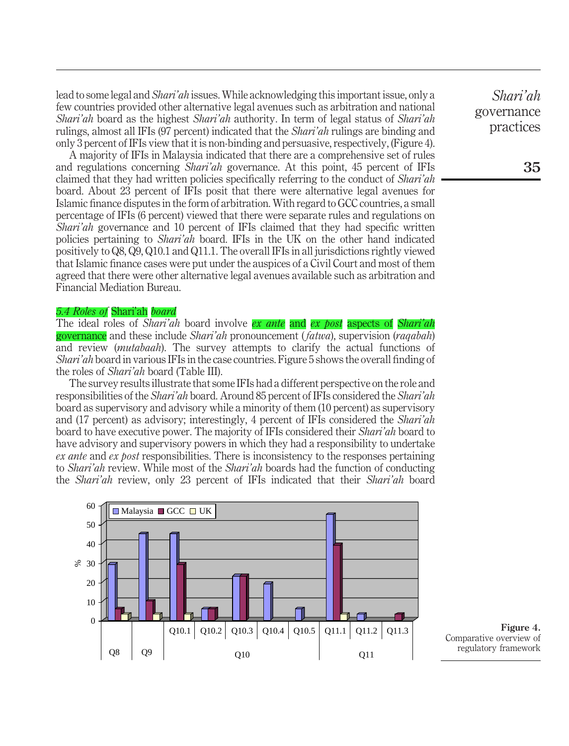lead to some legal and Shari'ah issues.While acknowledging this important issue, only a few countries provided other alternative legal avenues such as arbitration and national Shari'ah board as the highest Shari'ah authority. In term of legal status of Shari'ah rulings, almost all IFIs (97 percent) indicated that the Shari'ah rulings are binding and only 3 percent of IFIs view that it is non-binding and persuasive, respectively, (Figure 4).

A majority of IFIs in Malaysia indicated that there are a comprehensive set of rules and regulations concerning Shari'ah governance. At this point, 45 percent of IFIs claimed that they had written policies specifically referring to the conduct of *Shari'ah* board. About 23 percent of IFIs posit that there were alternative legal avenues for Islamic finance disputes in the form of arbitration. With regard to GCC countries, a small percentage of IFIs (6 percent) viewed that there were separate rules and regulations on Shari'ah governance and 10 percent of IFIs claimed that they had specific written policies pertaining to Shari'ah board. IFIs in the UK on the other hand indicated positively to Q8, Q9, Q10.1 and Q11.1. The overall IFIs in all jurisdictions rightly viewed that Islamic finance cases were put under the auspices of a Civil Court and most of them agreed that there were other alternative legal avenues available such as arbitration and Financial Mediation Bureau.

## 5.4 Roles of Shari'ah board

The ideal roles of Shari'ah board involve ex ante and ex post aspects of Shari'ah governance and these include Shari'ah pronouncement (fatwa), supervision (raqabah) and review (mutabaah). The survey attempts to clarify the actual functions of Shari'ah board in various IFIs in the case countries. Figure 5 shows the overall finding of the roles of Shari'ah board (Table III).

The survey results illustrate that some IFIs had a different perspective on the role and responsibilities of the Shari'ah board. Around 85 percent of IFIs considered the Shari'ah board as supervisory and advisory while a minority of them (10 percent) as supervisory and (17 percent) as advisory; interestingly, 4 percent of IFIs considered the Shari'ah board to have executive power. The majority of IFIs considered their *Shari'ah* board to have advisory and supervisory powers in which they had a responsibility to undertake ex ante and ex post responsibilities. There is inconsistency to the responses pertaining to *Shari'ah* review. While most of the *Shari'ah* boards had the function of conducting the Shari'ah review, only 23 percent of IFIs indicated that their Shari'ah board



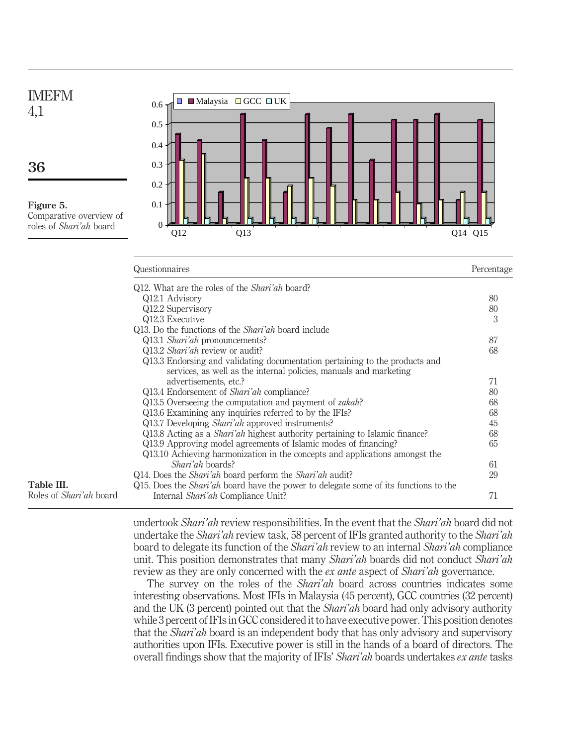

|                                | Q12. What are the roles of the <i>Shari'ah</i> board?                                       |    |
|--------------------------------|---------------------------------------------------------------------------------------------|----|
|                                | Q12.1 Advisory                                                                              | 80 |
|                                | Q12.2 Supervisory                                                                           | 80 |
|                                | Q12.3 Executive                                                                             | 3  |
|                                | Q13. Do the functions of the <i>Shari'ah</i> board include                                  |    |
|                                | Q13.1 <i>Shari'ah</i> pronouncements?                                                       | 87 |
|                                | Q13.2 Shari'ah review or audit?                                                             | 68 |
|                                | Q13.3 Endorsing and validating documentation pertaining to the products and                 |    |
|                                | services, as well as the internal policies, manuals and marketing                           |    |
|                                | advertisements, etc.?                                                                       | 71 |
|                                | Q13.4 Endorsement of <i>Shari'ah</i> compliance?                                            | 80 |
|                                | Q13.5 Overseeing the computation and payment of <i>zakah</i> ?                              | 68 |
|                                | Q13.6 Examining any inquiries referred to by the IFIs?                                      | 68 |
|                                | Q13.7 Developing <i>Shari'ah</i> approved instruments?                                      | 45 |
|                                | Q13.8 Acting as a <i>Shari'ah</i> highest authority pertaining to Islamic finance?          | 68 |
|                                | Q13.9 Approving model agreements of Islamic modes of financing?                             | 65 |
|                                | Q13.10 Achieving harmonization in the concepts and applications amongst the                 |    |
|                                | <i>Shari'ah</i> boards?                                                                     | 61 |
|                                | Q14. Does the <i>Shari'ah</i> board perform the <i>Shari'ah</i> audit?                      | 29 |
| Table III.                     | Q15. Does the <i>Shari'ah</i> board have the power to delegate some of its functions to the |    |
| Roles of <i>Shari'ah</i> board | Internal <i>Shari'ah</i> Compliance Unit?                                                   | 71 |
|                                |                                                                                             |    |

Questionnaires Percentage

undertook *Shari'ah* review responsibilities. In the event that the *Shari'ah* board did not undertake the *Shari'ah* review task, 58 percent of IFIs granted authority to the *Shari'ah* board to delegate its function of the Shari'ah review to an internal Shari'ah compliance unit. This position demonstrates that many Shari'ah boards did not conduct Shari'ah review as they are only concerned with the ex ante aspect of Shari'ah governance.

The survey on the roles of the Shari'ah board across countries indicates some interesting observations. Most IFIs in Malaysia (45 percent), GCC countries (32 percent) and the UK (3 percent) pointed out that the Shari'ah board had only advisory authority while 3 percent of IFIs in GCC considered it to have executive power. This position denotes that the Shari'ah board is an independent body that has only advisory and supervisory authorities upon IFIs. Executive power is still in the hands of a board of directors. The overall findings show that the majority of IFIs' Shari'ah boards undertakes ex ante tasks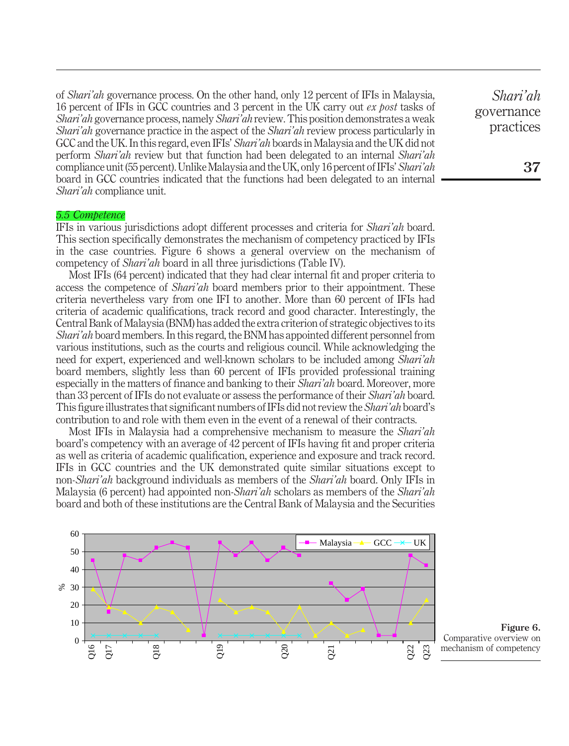of Shari'ah governance process. On the other hand, only 12 percent of IFIs in Malaysia, 16 percent of IFIs in GCC countries and 3 percent in the UK carry out ex post tasks of Shari'ah governance process, namely Shari'ah review. This position demonstrates a weak Shari'ah governance practice in the aspect of the *Shari'ah* review process particularly in GCC and the UK. In this regard, even IFIs' Shari'ah boards in Malaysia and the UK did not perform Shari'ah review but that function had been delegated to an internal Shari'ah compliance unit (55 percent). Unlike Malaysia and the UK, only 16 percent of IFIs' Shari'ah board in GCC countries indicated that the functions had been delegated to an internal Shari'ah compliance unit.

#### 5.5 Competence

IFIs in various jurisdictions adopt different processes and criteria for Shari'ah board. This section specifically demonstrates the mechanism of competency practiced by IFIs in the case countries. Figure 6 shows a general overview on the mechanism of competency of *Shari'ah* board in all three jurisdictions (Table IV).

Most IFIs (64 percent) indicated that they had clear internal fit and proper criteria to access the competence of *Shari'ah* board members prior to their appointment. These criteria nevertheless vary from one IFI to another. More than 60 percent of IFIs had criteria of academic qualifications, track record and good character. Interestingly, the Central Bank of Malaysia (BNM) has added the extra criterion of strategic objectives to its Shari'ah board members. In this regard, the BNM has appointed different personnel from various institutions, such as the courts and religious council. While acknowledging the need for expert, experienced and well-known scholars to be included among Shari'ah board members, slightly less than 60 percent of IFIs provided professional training especially in the matters of finance and banking to their *Shari'ah* board. Moreover, more than 33 percent of IFIs do not evaluate or assess the performance of their *Shari'ah* board. This figure illustrates that significant numbers of IFIs did not review the Shari'ah board's contribution to and role with them even in the event of a renewal of their contracts.

Most IFIs in Malaysia had a comprehensive mechanism to measure the Shari'ah board's competency with an average of 42 percent of IFIs having fit and proper criteria as well as criteria of academic qualification, experience and exposure and track record. IFIs in GCC countries and the UK demonstrated quite similar situations except to non-Shari'ah background individuals as members of the Shari'ah board. Only IFIs in Malaysia (6 percent) had appointed non-*Shari'ah* scholars as members of the *Shari'ah* board and both of these institutions are the Central Bank of Malaysia and the Securities



Figure 6. Comparative overview on mechanism of competency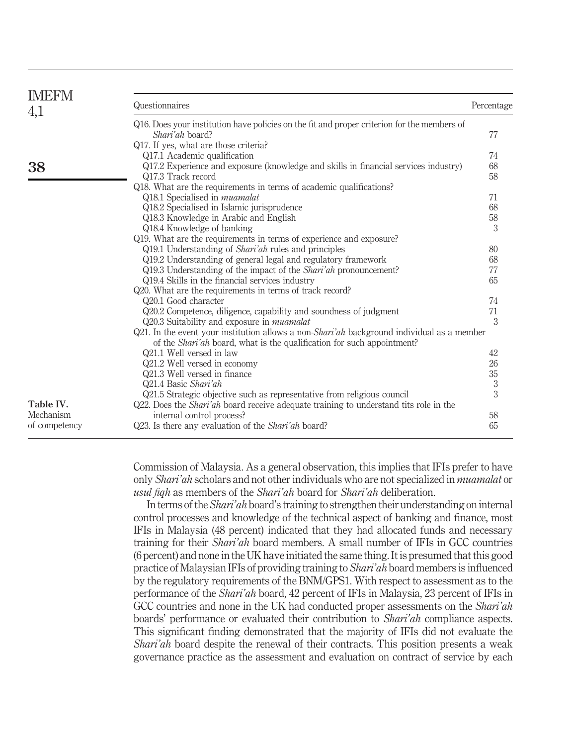| <b>IMEFM</b>           |                                                                                                                                                                                     |            |
|------------------------|-------------------------------------------------------------------------------------------------------------------------------------------------------------------------------------|------------|
| 4,1                    | Questionnaires                                                                                                                                                                      | Percentage |
|                        | Q16. Does your institution have policies on the fit and proper criterion for the members of<br>Shari'ah board?<br>Q17. If yes, what are those criteria?                             | 77         |
|                        | Q17.1 Academic qualification                                                                                                                                                        | 74         |
| 38                     | Q17.2 Experience and exposure (knowledge and skills in financial services industry)<br>Q17.3 Track record<br>Q18. What are the requirements in terms of academic qualifications?    | 68<br>58   |
|                        | Q18.1 Specialised in <i>muamalat</i>                                                                                                                                                | 71         |
|                        | Q18.2 Specialised in Islamic jurisprudence                                                                                                                                          | 68         |
|                        | Q18.3 Knowledge in Arabic and English                                                                                                                                               | 58         |
|                        | Q18.4 Knowledge of banking                                                                                                                                                          | 3          |
|                        | Q19. What are the requirements in terms of experience and exposure?                                                                                                                 |            |
|                        | Q19.1 Understanding of <i>Shari'ah</i> rules and principles                                                                                                                         | 80         |
|                        | Q19.2 Understanding of general legal and regulatory framework                                                                                                                       | 68         |
|                        | Q19.3 Understanding of the impact of the <i>Shari'ah</i> pronouncement?                                                                                                             | 77         |
|                        | Q19.4 Skills in the financial services industry<br>Q20. What are the requirements in terms of track record?                                                                         | 65         |
|                        | Q20.1 Good character                                                                                                                                                                | 74         |
|                        | Q20.2 Competence, diligence, capability and soundness of judgment                                                                                                                   | 71         |
|                        | Q20.3 Suitability and exposure in <i>muamalat</i>                                                                                                                                   | 3          |
|                        | Q21. In the event your institution allows a non- <i>Shari'ah</i> background individual as a member<br>of the <i>Shari'ah</i> board, what is the qualification for such appointment? |            |
|                        | Q21.1 Well versed in law                                                                                                                                                            | 42         |
|                        | Q21.2 Well versed in economy                                                                                                                                                        | 26         |
|                        | Q21.3 Well versed in finance                                                                                                                                                        | 35         |
|                        | Q21.4 Basic Shari'ah                                                                                                                                                                | $\sqrt{3}$ |
|                        | Q21.5 Strategic objective such as representative from religious council                                                                                                             | 3          |
| Table IV.<br>Mechanism | Q22. Does the <i>Shari'ah</i> board receive adequate training to understand tits role in the                                                                                        |            |
|                        | internal control process?                                                                                                                                                           | 58         |
| of competency          | Q23. Is there any evaluation of the <i>Shari'ah</i> board?                                                                                                                          | 65         |

Commission of Malaysia. As a general observation, this implies that IFIs prefer to have only Shari'ah scholars and not other individuals who are not specialized in muamalat or usul fight as members of the *Shari'ah* board for *Shari'ah* deliberation.

In terms of the *Shari'ah* board's training to strengthen their understanding on internal control processes and knowledge of the technical aspect of banking and finance, most IFIs in Malaysia (48 percent) indicated that they had allocated funds and necessary training for their Shari'ah board members. A small number of IFIs in GCC countries (6 percent) and none in the UK have initiated the same thing. It is presumed that this good practice of Malaysian IFIs of providing training to Shari'ah board members is influenced by the regulatory requirements of the BNM/GPS1. With respect to assessment as to the performance of the Shari'ah board, 42 percent of IFIs in Malaysia, 23 percent of IFIs in GCC countries and none in the UK had conducted proper assessments on the *Shari'ah* boards' performance or evaluated their contribution to Shari'ah compliance aspects. This significant finding demonstrated that the majority of IFIs did not evaluate the Shari'ah board despite the renewal of their contracts. This position presents a weak governance practice as the assessment and evaluation on contract of service by each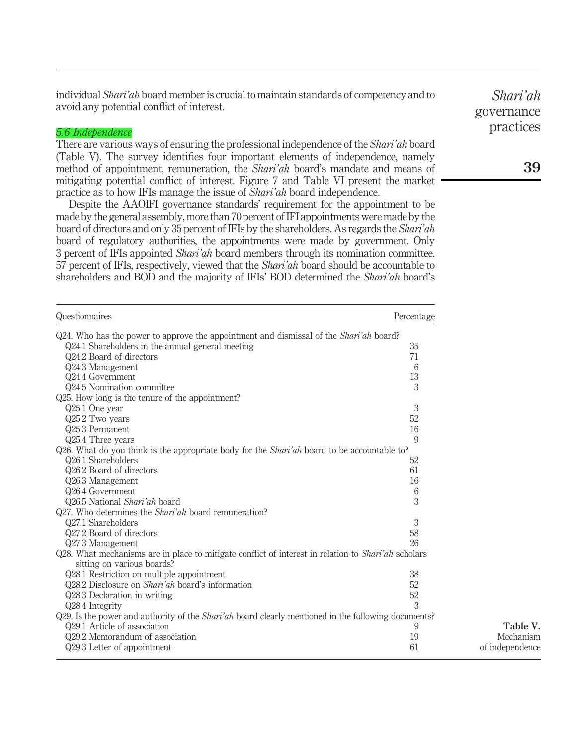individual Shari'ah board member is crucial to maintain standards of competency and to avoid any potential conflict of interest.

#### 5.6 Independence

There are various ways of ensuring the professional independence of the Shari'ah board (Table V). The survey identifies four important elements of independence, namely method of appointment, remuneration, the *Shari'ah* board's mandate and means of mitigating potential conflict of interest. Figure 7 and Table VI present the market practice as to how IFIs manage the issue of Shari'ah board independence.

Despite the AAOIFI governance standards' requirement for the appointment to be made by the general assembly, more than 70 percent of IFI appointments were made by the board of directors and only 35 percent of IFIs by the shareholders. As regards the Shari'ah board of regulatory authorities, the appointments were made by government. Only 3 percent of IFIs appointed Shari'ah board members through its nomination committee. 57 percent of IFIs, respectively, viewed that the Shari'ah board should be accountable to shareholders and BOD and the majority of IFIs' BOD determined the Shari'ah board's

| Questionnaires                                                                                             | Percentage |                 |
|------------------------------------------------------------------------------------------------------------|------------|-----------------|
| Q24. Who has the power to approve the appointment and dismissal of the <i>Shari'ah</i> board?              |            |                 |
| Q24.1 Shareholders in the annual general meeting                                                           | 35         |                 |
| Q24.2 Board of directors                                                                                   | 71         |                 |
| Q24.3 Management                                                                                           | 6          |                 |
| Q24.4 Government                                                                                           | 13         |                 |
| Q24.5 Nomination committee                                                                                 | 3          |                 |
| Q25. How long is the tenure of the appointment?                                                            |            |                 |
| Q25.1 One year                                                                                             | 3          |                 |
| Q25.2 Two years                                                                                            | 52         |                 |
| Q25.3 Permanent                                                                                            | 16         |                 |
| Q25.4 Three years                                                                                          | 9          |                 |
| Q26. What do you think is the appropriate body for the <i>Shari'ah</i> board to be accountable to?         |            |                 |
| Q26.1 Shareholders                                                                                         | 52         |                 |
| Q26.2 Board of directors                                                                                   | 61         |                 |
| Q26.3 Management                                                                                           | 16         |                 |
| Q26.4 Government                                                                                           | 6          |                 |
| Q26.5 National Shari'ah board                                                                              | 3          |                 |
| Q27. Who determines the <i>Shari'ah</i> board remuneration?                                                |            |                 |
| Q27.1 Shareholders                                                                                         | 3          |                 |
| Q27.2 Board of directors                                                                                   | 58         |                 |
| Q27.3 Management                                                                                           | 26         |                 |
| Q28. What mechanisms are in place to mitigate conflict of interest in relation to <i>Shari'ah</i> scholars |            |                 |
| sitting on various boards?                                                                                 |            |                 |
| Q28.1 Restriction on multiple appointment                                                                  | 38         |                 |
| Q28.2 Disclosure on <i>Shari'ah</i> board's information                                                    | 52         |                 |
| Q28.3 Declaration in writing                                                                               | 52         |                 |
| Q28.4 Integrity                                                                                            | 3          |                 |
| Q29. Is the power and authority of the <i>Shari'ah</i> board clearly mentioned in the following documents? |            |                 |
| Q29.1 Article of association                                                                               | 9          | Table V.        |
| Q29.2 Memorandum of association                                                                            | 19         | Mechanism       |
| Q29.3 Letter of appointment                                                                                | 61         | of independence |

Shari'ah governance practices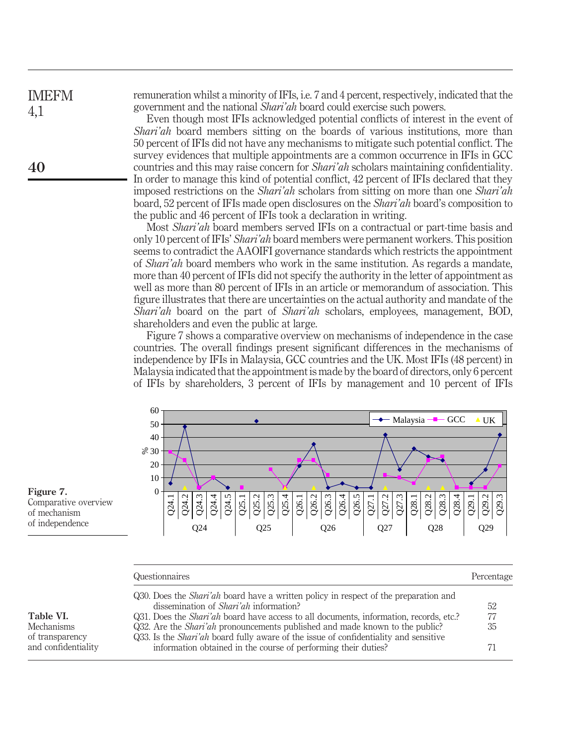| <b>IMEFM</b> | remuneration whilst a minority of IFIs, i.e. 7 and 4 percent, respectively, indicated that the |
|--------------|------------------------------------------------------------------------------------------------|
| 4,1          | government and the national <i>Shari'ah</i> board could exercise such powers.                  |
|              | Even though most IFIs acknowledged potential conflicts of interest in the event of             |
|              | <i>Shari'ah</i> board members sitting on the boards of various institutions, more than         |
|              |                                                                                                |

50 percent of IFIs did not have any mechanisms to mitigate such potential conflict. The survey evidences that multiple appointments are a common occurrence in IFIs in GCC countries and this may raise concern for *Shari'ah* scholars maintaining confidentiality. In order to manage this kind of potential conflict, 42 percent of IFIs declared that they imposed restrictions on the Shari'ah scholars from sitting on more than one Shari'ah board, 52 percent of IFIs made open disclosures on the Shari'ah board's composition to the public and 46 percent of IFIs took a declaration in writing.

Most Shari'ah board members served IFIs on a contractual or part-time basis and only 10 percent of IFIs' Shari'ah board members were permanent workers. This position seems to contradict the AAOIFI governance standards which restricts the appointment of Shari'ah board members who work in the same institution. As regards a mandate, more than 40 percent of IFIs did not specify the authority in the letter of appointment as well as more than 80 percent of IFIs in an article or memorandum of association. This figure illustrates that there are uncertainties on the actual authority and mandate of the Shari'ah board on the part of Shari'ah scholars, employees, management, BOD, shareholders and even the public at large.

Figure 7 shows a comparative overview on mechanisms of independence in the case countries. The overall findings present significant differences in the mechanisms of independence by IFIs in Malaysia, GCC countries and the UK. Most IFIs (48 percent) in Malaysia indicated that the appointment is made by the board of directors, only 6 percent of IFIs by shareholders, 3 percent of IFIs by management and 10 percent of IFIs



Figure 7. Comparative overview of mechanism of independence

Table VI. Mechanisms of transparency and confidentiality

| Questionnaires                                |                                                                                               | Percentage |
|-----------------------------------------------|-----------------------------------------------------------------------------------------------|------------|
|                                               | Q30. Does the <i>Shari'ah</i> board have a written policy in respect of the preparation and   |            |
| dissemination of <i>Shari'ah</i> information? |                                                                                               | 52         |
|                                               | Q31. Does the <i>Shari'ah</i> board have access to all documents, information, records, etc.? | 77         |
|                                               | Q32. Are the <i>Shari'ah</i> pronouncements published and made known to the public?           | 35         |
|                                               | Q33. Is the <i>Shari'ah</i> board fully aware of the issue of confidentiality and sensitive   |            |
|                                               | information obtained in the course of performing their duties?                                | 71         |
|                                               |                                                                                               |            |

40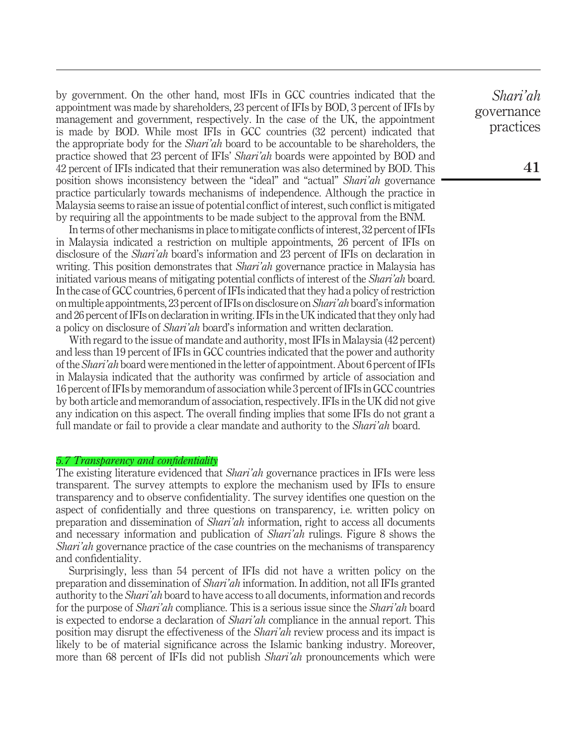by government. On the other hand, most IFIs in GCC countries indicated that the appointment was made by shareholders, 23 percent of IFIs by BOD, 3 percent of IFIs by management and government, respectively. In the case of the UK, the appointment is made by BOD. While most IFIs in GCC countries (32 percent) indicated that the appropriate body for the *Shari'ah* board to be accountable to be shareholders, the practice showed that 23 percent of IFIs' Shari'ah boards were appointed by BOD and 42 percent of IFIs indicated that their remuneration was also determined by BOD. This position shows inconsistency between the "ideal" and "actual" Shari'ah governance practice particularly towards mechanisms of independence. Although the practice in Malaysia seems to raise an issue of potential conflict of interest, such conflict is mitigated by requiring all the appointments to be made subject to the approval from the BNM.

In terms of other mechanisms in place to mitigate conflicts of interest, 32 percent of IFIs in Malaysia indicated a restriction on multiple appointments, 26 percent of IFIs on disclosure of the *Shari'ah* board's information and 23 percent of IFIs on declaration in writing. This position demonstrates that Shari'ah governance practice in Malaysia has initiated various means of mitigating potential conflicts of interest of the Shari'ah board. In the case of GCC countries, 6 percent of IFIs indicated that they had a policy of restriction on multiple appointments, 23 percent of IFIs on disclosure on Shari'ah board's information and 26 percent of IFIs on declaration in writing. IFIs in the UK indicated that they only had a policy on disclosure of Shari'ah board's information and written declaration.

With regard to the issue of mandate and authority, most IFIs in Malaysia (42 percent) and less than 19 percent of IFIs in GCC countries indicated that the power and authority of the Shari'ah board were mentioned in the letter of appointment. About 6 percent of IFIs in Malaysia indicated that the authority was confirmed by article of association and 16 percent of IFIs by memorandum of association while 3 percent of IFIs in GCC countries by both article and memorandum of association, respectively. IFIs in the UK did not give any indication on this aspect. The overall finding implies that some IFIs do not grant a full mandate or fail to provide a clear mandate and authority to the *Shari'ah* board.

#### 5.7 Transparency and confidentiality

The existing literature evidenced that *Shari'ah* governance practices in IFIs were less transparent. The survey attempts to explore the mechanism used by IFIs to ensure transparency and to observe confidentiality. The survey identifies one question on the aspect of confidentially and three questions on transparency, i.e. written policy on preparation and dissemination of Shari'ah information, right to access all documents and necessary information and publication of Shari'ah rulings. Figure 8 shows the Shari'ah governance practice of the case countries on the mechanisms of transparency and confidentiality.

Surprisingly, less than 54 percent of IFIs did not have a written policy on the preparation and dissemination of Shari'ah information. In addition, not all IFIs granted authority to the Shari'ah board to have access to all documents, information and records for the purpose of *Shari'ah* compliance. This is a serious issue since the *Shari'ah* board is expected to endorse a declaration of *Shari'ah* compliance in the annual report. This position may disrupt the effectiveness of the Shari'ah review process and its impact is likely to be of material significance across the Islamic banking industry. Moreover, more than 68 percent of IFIs did not publish *Shari'ah* pronouncements which were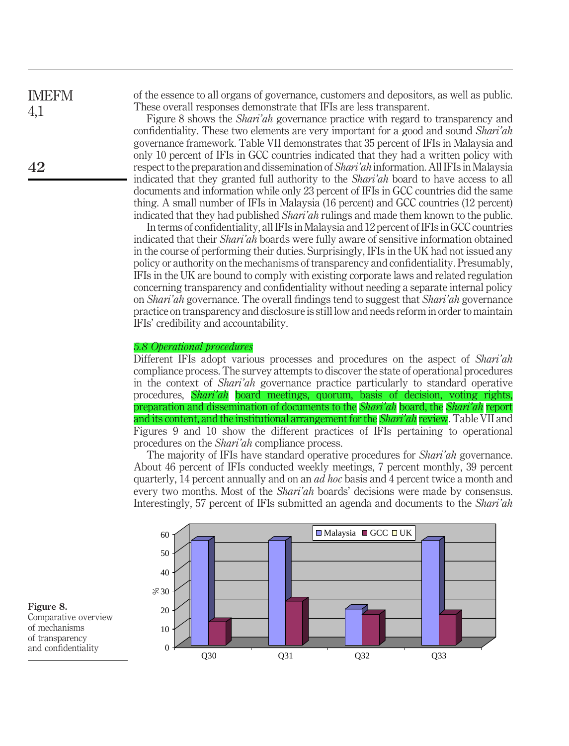of the essence to all organs of governance, customers and depositors, as well as public. These overall responses demonstrate that IFIs are less transparent.

Figure 8 shows the *Shari'ah* governance practice with regard to transparency and confidentiality. These two elements are very important for a good and sound Shari'ah governance framework. Table VII demonstrates that 35 percent of IFIs in Malaysia and only 10 percent of IFIs in GCC countries indicated that they had a written policy with respect to the preparation and dissemination of Shari'ah information. All IFIs in Malaysia indicated that they granted full authority to the Shari'ah board to have access to all documents and information while only 23 percent of IFIs in GCC countries did the same thing. A small number of IFIs in Malaysia (16 percent) and GCC countries (12 percent) indicated that they had published Shari'ah rulings and made them known to the public.

In terms of confidentiality, all IFIs in Malaysia and 12 percent of IFIs in GCC countries indicated that their Shari'ah boards were fully aware of sensitive information obtained in the course of performing their duties. Surprisingly, IFIs in the UK had not issued any policy or authority on the mechanisms of transparency and confidentiality. Presumably, IFIs in the UK are bound to comply with existing corporate laws and related regulation concerning transparency and confidentiality without needing a separate internal policy on Shari'ah governance. The overall findings tend to suggest that Shari'ah governance practice on transparency and disclosure is still low and needs reform in order to maintain IFIs' credibility and accountability.

#### 5.8 Operational procedures

Different IFIs adopt various processes and procedures on the aspect of *Shari'ah* compliance process. The survey attempts to discover the state of operational procedures in the context of Shari'ah governance practice particularly to standard operative procedures, Shari'ah board meetings, quorum, basis of decision, voting rights, preparation and dissemination of documents to the *Shari'ah* board, the *Shari'ah* report and its content, and the institutional arrangement for the *Shari'ah* review. Table VII and Figures 9 and 10 show the different practices of IFIs pertaining to operational procedures on the Shari'ah compliance process.

The majority of IFIs have standard operative procedures for *Shari'ah* governance. About 46 percent of IFIs conducted weekly meetings, 7 percent monthly, 39 percent quarterly, 14 percent annually and on an ad hoc basis and 4 percent twice a month and every two months. Most of the *Shari'ah* boards' decisions were made by consensus. Interestingly, 57 percent of IFIs submitted an agenda and documents to the Shari'ah



#### Figure 8.

Comparative overview of mechanisms of transparency and confidentiality 0

IMEFM 4,1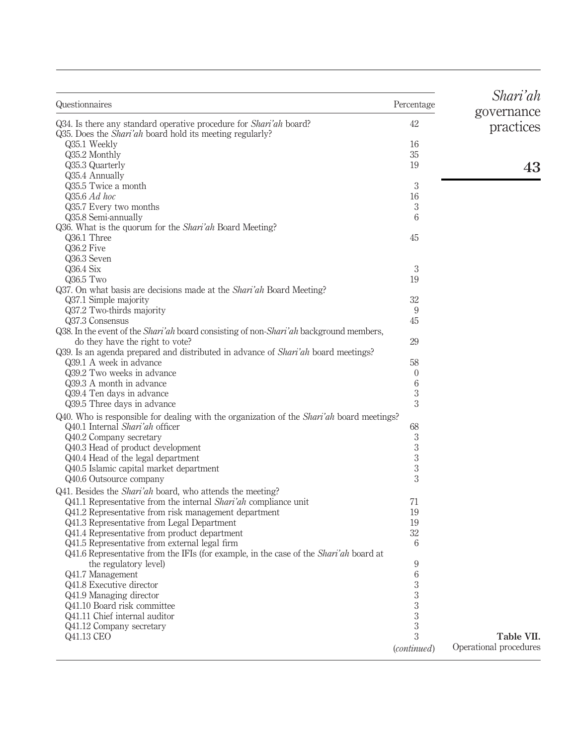| Questionnaires                                                                                        | Percentage     | Shari'ah<br>governance |
|-------------------------------------------------------------------------------------------------------|----------------|------------------------|
| Q34. Is there any standard operative procedure for <i>Shari'ah</i> board?                             | 42             | practices              |
| Q35. Does the <i>Shari'ah</i> board hold its meeting regularly?                                       |                |                        |
| Q35.1 Weekly                                                                                          | 16             |                        |
| Q35.2 Monthly                                                                                         | 35             |                        |
| Q35.3 Quarterly                                                                                       | 19             | 43                     |
| Q35.4 Annually                                                                                        |                |                        |
| Q35.5 Twice a month                                                                                   | 3              |                        |
| Q35.6 Ad hoc                                                                                          | 16             |                        |
| Q35.7 Every two months                                                                                | 3              |                        |
| Q35.8 Semi-annually                                                                                   | 6              |                        |
| Q36. What is the quorum for the <i>Shari'ah</i> Board Meeting?                                        |                |                        |
| Q36.1 Three                                                                                           | 45             |                        |
|                                                                                                       |                |                        |
| Q36.2 Five                                                                                            |                |                        |
| Q36.3 Seven                                                                                           |                |                        |
| $Q36.4$ Six                                                                                           | 3              |                        |
| $Q36.5$ Two                                                                                           | 19             |                        |
| Q37. On what basis are decisions made at the <i>Shari'ah</i> Board Meeting?                           |                |                        |
| Q37.1 Simple majority                                                                                 | 32             |                        |
| Q37.2 Two-thirds majority                                                                             | 9              |                        |
| Q37.3 Consensus                                                                                       | 45             |                        |
| Q38. In the event of the <i>Shari'ah</i> board consisting of non- <i>Shari'ah</i> background members, |                |                        |
| do they have the right to vote?                                                                       | 29             |                        |
| Q39. Is an agenda prepared and distributed in advance of <i>Shari'ah</i> board meetings?              |                |                        |
| Q39.1 A week in advance                                                                               | 58             |                        |
| Q39.2 Two weeks in advance                                                                            | $\mathbf{0}$   |                        |
| Q39.3 A month in advance                                                                              | 6              |                        |
| Q39.4 Ten days in advance                                                                             | 3              |                        |
| Q39.5 Three days in advance                                                                           | 3              |                        |
| Q40. Who is responsible for dealing with the organization of the Shari'ah board meetings?             |                |                        |
| Q40.1 Internal Shari'ah officer                                                                       | 68             |                        |
| Q40.2 Company secretary                                                                               | 3              |                        |
|                                                                                                       | $\overline{3}$ |                        |
| Q40.3 Head of product development                                                                     | 3              |                        |
| Q40.4 Head of the legal department                                                                    |                |                        |
| Q40.5 Islamic capital market department                                                               | 3              |                        |
| Q40.6 Outsource company                                                                               | 3              |                        |
| Q41. Besides the <i>Shari'ah</i> board, who attends the meeting?                                      |                |                        |
| Q41.1 Representative from the internal <i>Shari'ah</i> compliance unit                                | 71             |                        |
| Q41.2 Representative from risk management department                                                  | 19             |                        |
| Q41.3 Representative from Legal Department                                                            | 19             |                        |
| Q41.4 Representative from product department                                                          | 32             |                        |
| Q41.5 Representative from external legal firm                                                         | 6              |                        |
| Q41.6 Representative from the IFIs (for example, in the case of the <i>Shari'ah</i> board at          |                |                        |
| the regulatory level)                                                                                 | 9              |                        |
| Q41.7 Management                                                                                      | 6              |                        |
| Q41.8 Executive director                                                                              | 3              |                        |
| Q41.9 Managing director                                                                               | 3              |                        |
| Q41.10 Board risk committee                                                                           | 3              |                        |
| Q41.11 Chief internal auditor                                                                         | 3              |                        |
| Q41.12 Company secretary                                                                              | 3              |                        |
| Q41.13 CEO                                                                                            | 3              | Table VII.             |
|                                                                                                       |                |                        |
|                                                                                                       | (continued)    | Operational procedures |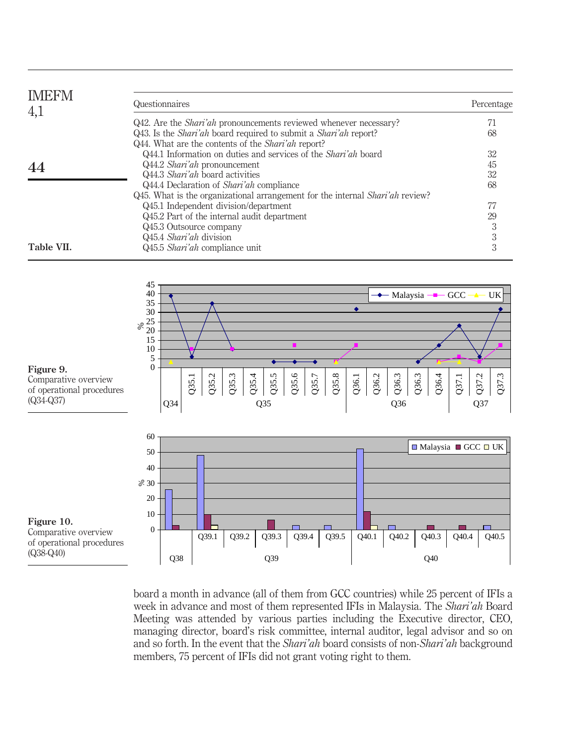| <b>IMEFM</b><br>4,1 | Questionnaires                                                                                                                              | Percentage |
|---------------------|---------------------------------------------------------------------------------------------------------------------------------------------|------------|
|                     | Q42. Are the <i>Shari'ah</i> pronouncements reviewed whenever necessary?                                                                    |            |
|                     | Q43. Is the <i>Shari'ah</i> board required to submit a <i>Shari'ah</i> report?<br>Q44. What are the contents of the <i>Shari'ah</i> report? | 68         |
|                     | Q44.1 Information on duties and services of the <i>Shari'ah</i> board                                                                       | 32         |
|                     | Q44.2 Shari'ah pronouncement                                                                                                                | 45         |
|                     | Q44.3 Shari'ah board activities                                                                                                             | 32         |
|                     | Q44.4 Declaration of <i>Shari'ah</i> compliance                                                                                             | 68         |
|                     | Q45. What is the organizational arrangement for the internal <i>Shari'ah</i> review?                                                        |            |
|                     | Q45.1 Independent division/department                                                                                                       |            |
|                     | Q45.2 Part of the internal audit department                                                                                                 | 29         |
|                     | Q45.3 Outsource company                                                                                                                     |            |
|                     | Q45.4 Shari'ah division                                                                                                                     |            |
| Table VII.          | Q45.5 Shari'ah compliance unit                                                                                                              | 3          |



board a month in advance (all of them from GCC countries) while 25 percent of IFIs a week in advance and most of them represented IFIs in Malaysia. The Shari'ah Board Meeting was attended by various parties including the Executive director, CEO, managing director, board's risk committee, internal auditor, legal advisor and so on and so forth. In the event that the Shari'ah board consists of non-Shari'ah background members, 75 percent of IFIs did not grant voting right to them.

Figure 9. Comparative overview of operational procedures (Q34-Q37)

Figure 10. Comparative overview of operational procedures (Q38-Q40)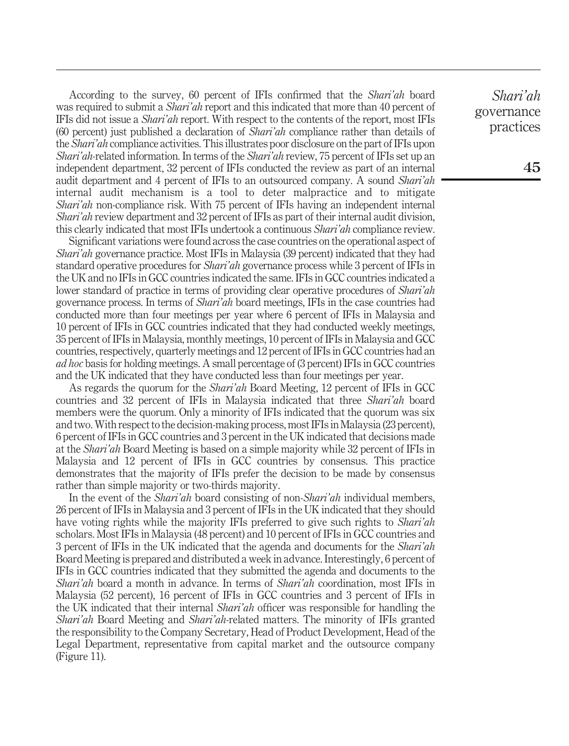According to the survey, 60 percent of IFIs confirmed that the Shari'ah board was required to submit a *Shari'ah* report and this indicated that more than 40 percent of IFIs did not issue a Shari'ah report. With respect to the contents of the report, most IFIs (60 percent) just published a declaration of Shari'ah compliance rather than details of the *Shari'ah* compliance activities. This illustrates poor disclosure on the part of IFIs upon Shari'ah-related information. In terms of the Shari'ah review, 75 percent of IFIs set up an independent department, 32 percent of IFIs conducted the review as part of an internal audit department and 4 percent of IFIs to an outsourced company. A sound Shari'ah internal audit mechanism is a tool to deter malpractice and to mitigate Shari'ah non-compliance risk. With 75 percent of IFIs having an independent internal Shari'ah review department and 32 percent of IFIs as part of their internal audit division, this clearly indicated that most IFIs undertook a continuous Shari'ah compliance review.

Significant variations were found across the case countries on the operational aspect of Shari'ah governance practice. Most IFIs in Malaysia (39 percent) indicated that they had standard operative procedures for Shari'ah governance process while 3 percent of IFIs in the UK and no IFIs in GCC countries indicated the same. IFIs in GCC countries indicated a lower standard of practice in terms of providing clear operative procedures of Shari'ah governance process. In terms of Shari'ah board meetings, IFIs in the case countries had conducted more than four meetings per year where 6 percent of IFIs in Malaysia and 10 percent of IFIs in GCC countries indicated that they had conducted weekly meetings, 35 percent of IFIs in Malaysia, monthly meetings, 10 percent of IFIs in Malaysia and GCC countries, respectively, quarterly meetings and 12 percent of IFIs in GCC countries had an ad hoc basis for holding meetings. A small percentage of (3 percent) IFIs in GCC countries and the UK indicated that they have conducted less than four meetings per year.

As regards the quorum for the *Shari'ah* Board Meeting, 12 percent of IFIs in GCC countries and 32 percent of IFIs in Malaysia indicated that three Shari'ah board members were the quorum. Only a minority of IFIs indicated that the quorum was six and two.With respect to the decision-making process, most IFIs in Malaysia (23 percent), 6 percent of IFIs in GCC countries and 3 percent in the UK indicated that decisions made at the Shari'ah Board Meeting is based on a simple majority while 32 percent of IFIs in Malaysia and 12 percent of IFIs in GCC countries by consensus. This practice demonstrates that the majority of IFIs prefer the decision to be made by consensus rather than simple majority or two-thirds majority.

In the event of the *Shari'ah* board consisting of non-*Shari'ah* individual members, 26 percent of IFIs in Malaysia and 3 percent of IFIs in the UK indicated that they should have voting rights while the majority IFIs preferred to give such rights to *Shari'ah* scholars. Most IFIs in Malaysia (48 percent) and 10 percent of IFIs in GCC countries and 3 percent of IFIs in the UK indicated that the agenda and documents for the Shari'ah Board Meeting is prepared and distributed a week in advance. Interestingly, 6 percent of IFIs in GCC countries indicated that they submitted the agenda and documents to the Shari'ah board a month in advance. In terms of Shari'ah coordination, most IFIs in Malaysia (52 percent), 16 percent of IFIs in GCC countries and 3 percent of IFIs in the UK indicated that their internal *Shari'ah* officer was responsible for handling the Shari'ah Board Meeting and Shari'ah-related matters. The minority of IFIs granted the responsibility to the Company Secretary, Head of Product Development, Head of the Legal Department, representative from capital market and the outsource company (Figure 11).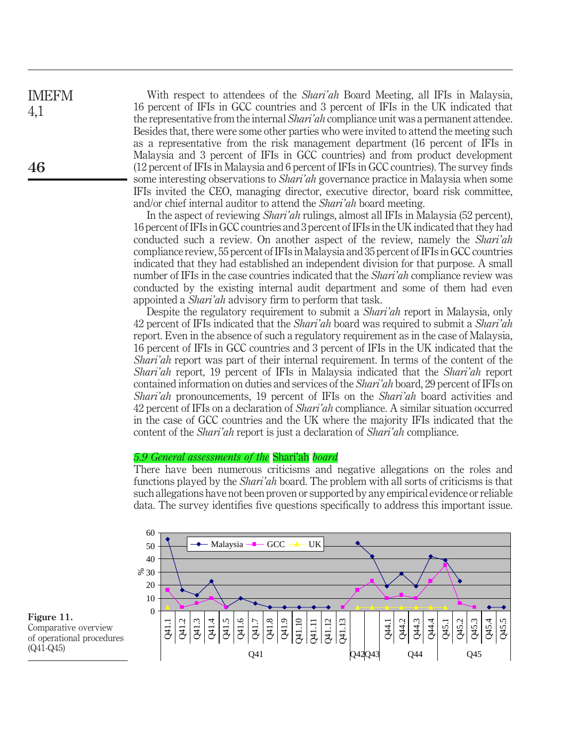With respect to attendees of the *Shari'ah* Board Meeting, all IFIs in Malaysia, 16 percent of IFIs in GCC countries and 3 percent of IFIs in the UK indicated that the representative from the internal *Shari'ah* compliance unit was a permanent attendee. Besides that, there were some other parties who were invited to attend the meeting such as a representative from the risk management department (16 percent of IFIs in Malaysia and 3 percent of IFIs in GCC countries) and from product development (12 percent of IFIs in Malaysia and 6 percent of IFIs in GCC countries). The survey finds some interesting observations to Shari'ah governance practice in Malaysia when some IFIs invited the CEO, managing director, executive director, board risk committee, and/or chief internal auditor to attend the *Shari'ah* board meeting.

In the aspect of reviewing Shari'ah rulings, almost all IFIs in Malaysia (52 percent), 16 percent of IFIs in GCC countries and 3 percent of IFIs in the UK indicated that they had conducted such a review. On another aspect of the review, namely the *Shari'ah* compliance review, 55 percent of IFIs in Malaysia and 35 percent of IFIs in GCC countries indicated that they had established an independent division for that purpose. A small number of IFIs in the case countries indicated that the *Shari'ah* compliance review was conducted by the existing internal audit department and some of them had even appointed a Shari'ah advisory firm to perform that task.

Despite the regulatory requirement to submit a *Shari'ah* report in Malaysia, only 42 percent of IFIs indicated that the *Shari'ah* board was required to submit a *Shari'ah* report. Even in the absence of such a regulatory requirement as in the case of Malaysia, 16 percent of IFIs in GCC countries and 3 percent of IFIs in the UK indicated that the Shari'ah report was part of their internal requirement. In terms of the content of the Shari'ah report, 19 percent of IFIs in Malaysia indicated that the Shari'ah report contained information on duties and services of the Shari'ah board, 29 percent of IFIs on Shari'ah pronouncements, 19 percent of IFIs on the Shari'ah board activities and 42 percent of IFIs on a declaration of Shari'ah compliance. A similar situation occurred in the case of GCC countries and the UK where the majority IFIs indicated that the content of the *Shari'ah* report is just a declaration of *Shari'ah* compliance.

#### 5.9 General assessments of the Shari'ah board

There have been numerous criticisms and negative allegations on the roles and functions played by the *Shari'ah* board. The problem with all sorts of criticisms is that such allegations have not been proven or supported by any empirical evidence or reliable data. The survey identifies five questions specifically to address this important issue.





IMEFM 4,1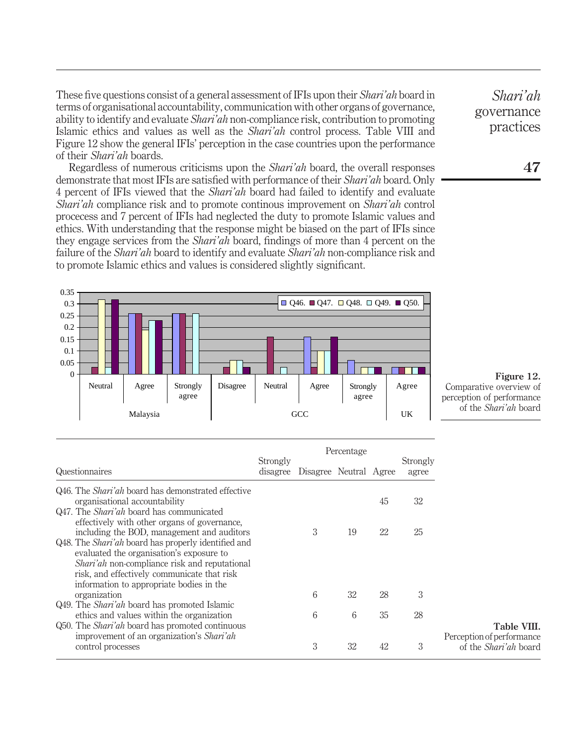These five questions consist of a general assessment of IFIs upon their Shari'ah board in terms of organisational accountability, communication with other organs of governance, ability to identify and evaluate *Shari'ah* non-compliance risk, contribution to promoting Islamic ethics and values as well as the Shari'ah control process. Table VIII and Figure 12 show the general IFIs' perception in the case countries upon the performance of their Shari'ah boards.

Regardless of numerous criticisms upon the Shari'ah board, the overall responses demonstrate that most IFIs are satisfied with performance of their Shari'ah board. Only 4 percent of IFIs viewed that the Shari'ah board had failed to identify and evaluate Shari'ah compliance risk and to promote continous improvement on Shari'ah control procecess and 7 percent of IFIs had neglected the duty to promote Islamic values and ethics. With understanding that the response might be biased on the part of IFIs since they engage services from the Shari'ah board, findings of more than 4 percent on the failure of the *Shari'ah* board to identify and evaluate *Shari'ah* non-compliance risk and to promote Islamic ethics and values is considered slightly significant.



Figure 12. Comparative overview of perception of performance of the Shari'ah board

|                                                                                                                                                                                                                                                                                                         |          |                                 | Percentage |    |                   |                                                           |
|---------------------------------------------------------------------------------------------------------------------------------------------------------------------------------------------------------------------------------------------------------------------------------------------------------|----------|---------------------------------|------------|----|-------------------|-----------------------------------------------------------|
| Questionnaires                                                                                                                                                                                                                                                                                          | Strongly | disagree Disagree Neutral Agree |            |    | Strongly<br>agree |                                                           |
| Q46. The <i>Shari'ah</i> board has demonstrated effective<br>organisational accountability<br>Q47. The <i>Shari'ah</i> board has communicated<br>effectively with other organs of governance.                                                                                                           |          |                                 |            | 45 | 32                |                                                           |
| including the BOD, management and auditors<br>Q48. The <i>Shari'ah</i> board has properly identified and<br>evaluated the organisation's exposure to<br><i>Shari'ah</i> non-compliance risk and reputational<br>risk, and effectively communicate that risk<br>information to appropriate bodies in the |          | 3                               | 19         | 22 | 25                |                                                           |
| organization                                                                                                                                                                                                                                                                                            |          | 6                               | 32         | 28 | 3                 |                                                           |
| Q49. The <i>Shari'ah</i> board has promoted Islamic<br>ethics and values within the organization<br>Q50. The <i>Shari'ah</i> board has promoted continuous                                                                                                                                              |          | 6                               | 6          | 35 | 28                | Table VIII.                                               |
| improvement of an organization's Shari'ah<br>control processes                                                                                                                                                                                                                                          |          | 3                               | 32         | 42 | 3                 | Perception of performance<br>of the <i>Shari'ah</i> board |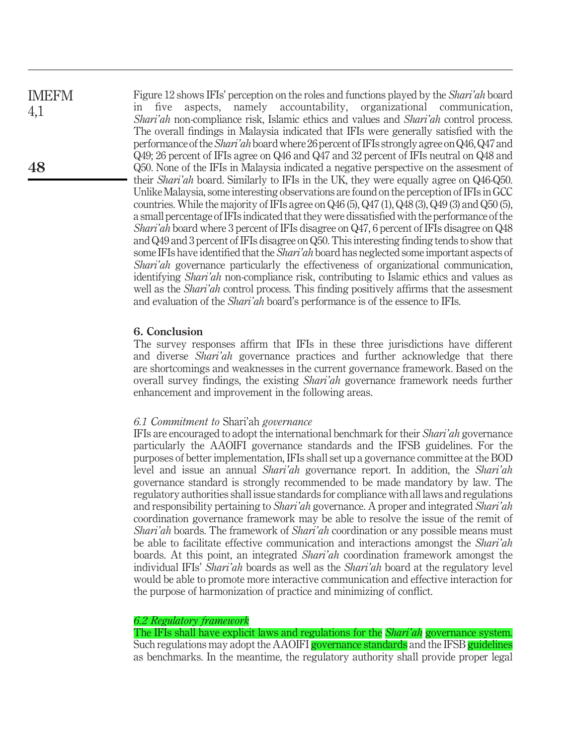# IMEFM 4,1

Figure 12 shows IFIs' perception on the roles and functions played by the Shari'ah board in five aspects, namely accountability, organizational communication, Shari'ah non-compliance risk, Islamic ethics and values and Shari'ah control process. The overall findings in Malaysia indicated that IFIs were generally satisfied with the performance of the *Shari'ah* board where 26 percent of IFIs strongly agree on Q46, Q47 and Q49; 26 percent of IFIs agree on Q46 and Q47 and 32 percent of IFIs neutral on Q48 and Q50. None of the IFIs in Malaysia indicated a negative perspective on the assesment of their *Shari'ah* board. Similarly to IFIs in the UK, they were equally agree on Q46-Q50. Unlike Malaysia, some interesting observations are found on the perception of IFIs in GCC countries. While the majority of IFIs agree on Q46 (5), Q47 (1), Q48 (3), Q49 (3) and Q50 (5), a small percentage of IFIs indicated that they were dissatisfied with the performance of the Shari'ah board where 3 percent of IFIs disagree on Q47, 6 percent of IFIs disagree on Q48 and Q49 and 3 percent of IFIs disagree on Q50. This interesting finding tends to show that some IFIs have identified that the *Shari'ah* board has neglected some important aspects of Shari'ah governance particularly the effectiveness of organizational communication, identifying Shari'ah non-compliance risk, contributing to Islamic ethics and values as well as the *Shari'ah* control process. This finding positively affirms that the assesment and evaluation of the Shari'ah board's performance is of the essence to IFIs.

# 6. Conclusion

The survey responses affirm that IFIs in these three jurisdictions have different and diverse *Shari'ah* governance practices and further acknowledge that there are shortcomings and weaknesses in the current governance framework. Based on the overall survey findings, the existing Shari'ah governance framework needs further enhancement and improvement in the following areas.

# 6.1 Commitment to Shari'ah governance

IFIs are encouraged to adopt the international benchmark for their Shari'ah governance particularly the AAOIFI governance standards and the IFSB guidelines. For the purposes of better implementation, IFIs shall set up a governance committee at the BOD level and issue an annual Shari'ah governance report. In addition, the Shari'ah governance standard is strongly recommended to be made mandatory by law. The regulatory authorities shall issue standards for compliance with all laws and regulations and responsibility pertaining to Shari'ah governance. A proper and integrated Shari'ah coordination governance framework may be able to resolve the issue of the remit of Shari'ah boards. The framework of Shari'ah coordination or any possible means must be able to facilitate effective communication and interactions amongst the *Shari'ah* boards. At this point, an integrated Shari'ah coordination framework amongst the individual IFIs' Shari'ah boards as well as the Shari'ah board at the regulatory level would be able to promote more interactive communication and effective interaction for the purpose of harmonization of practice and minimizing of conflict.

# 6.2 Regulatory framework

The IFIs shall have explicit laws and regulations for the *Shari'ah* governance system. Such regulations may adopt the AAOIFI governance standards and the IFSB guidelines as benchmarks. In the meantime, the regulatory authority shall provide proper legal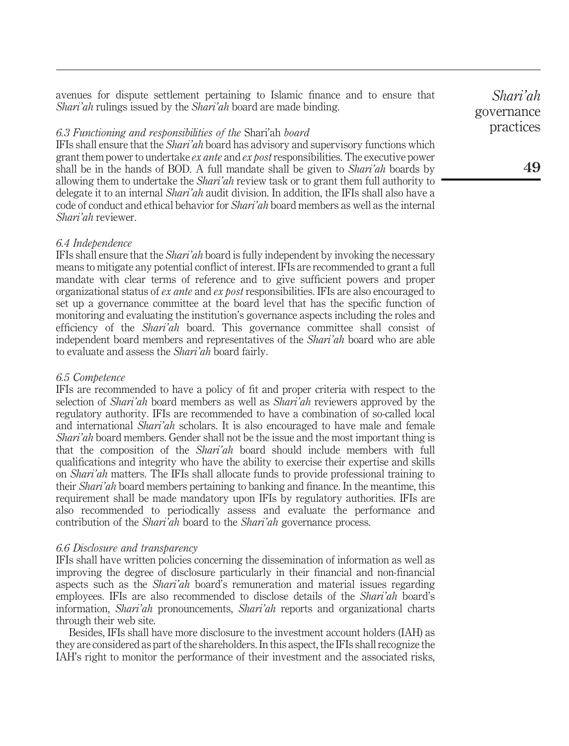avenues for dispute settlement pertaining to Islamic finance and to ensure that Shari'ah rulings issued by the Shari'ah board are made binding.

#### 6.3 Functioning and responsibilities of the Shari'ah board

IFIs shall ensure that the Shari'ah board has advisory and supervisory functions which grant them power to undertake ex ante and ex postresponsibilities. The executive power shall be in the hands of BOD. A full mandate shall be given to *Shari'ah* boards by allowing them to undertake the *Shari'ah* review task or to grant them full authority to delegate it to an internal *Shari'ah* audit division. In addition, the IFIs shall also have a code of conduct and ethical behavior for Shari'ah board members as well as the internal Shari'ah reviewer.

#### 6.4 Independence

IFIs shall ensure that the Shari'ah board is fully independent by invoking the necessary means to mitigate any potential conflict of interest. IFIs are recommended to grant a full mandate with clear terms of reference and to give sufficient powers and proper organizational status of ex ante and ex post responsibilities. IFIs are also encouraged to set up a governance committee at the board level that has the specific function of monitoring and evaluating the institution's governance aspects including the roles and efficiency of the Shari'ah board. This governance committee shall consist of independent board members and representatives of the Shari'ah board who are able to evaluate and assess the *Shari'ah* board fairly.

#### 6.5 Competence

IFIs are recommended to have a policy of fit and proper criteria with respect to the selection of Shari'ah board members as well as Shari'ah reviewers approved by the regulatory authority. IFIs are recommended to have a combination of so-called local and international *Shari'ah* scholars. It is also encouraged to have male and female Shari'ah board members. Gender shall not be the issue and the most important thing is that the composition of the Shari'ah board should include members with full qualifications and integrity who have the ability to exercise their expertise and skills on Shari'ah matters. The IFIs shall allocate funds to provide professional training to their Shari'ah board members pertaining to banking and finance. In the meantime, this requirement shall be made mandatory upon IFIs by regulatory authorities. IFIs are also recommended to periodically assess and evaluate the performance and contribution of the *Shari'ah* board to the *Shari'ah* governance process.

#### 6.6 Disclosure and transparency

IFIs shall have written policies concerning the dissemination of information as well as improving the degree of disclosure particularly in their financial and non-financial aspects such as the Shari'ah board's remuneration and material issues regarding employees. IFIs are also recommended to disclose details of the Shari'ah board's information, Shari'ah pronouncements, Shari'ah reports and organizational charts through their web site.

Besides, IFIs shall have more disclosure to the investment account holders (IAH) as they are considered as part of the shareholders. In this aspect, the IFIs shall recognize the IAH's right to monitor the performance of their investment and the associated risks,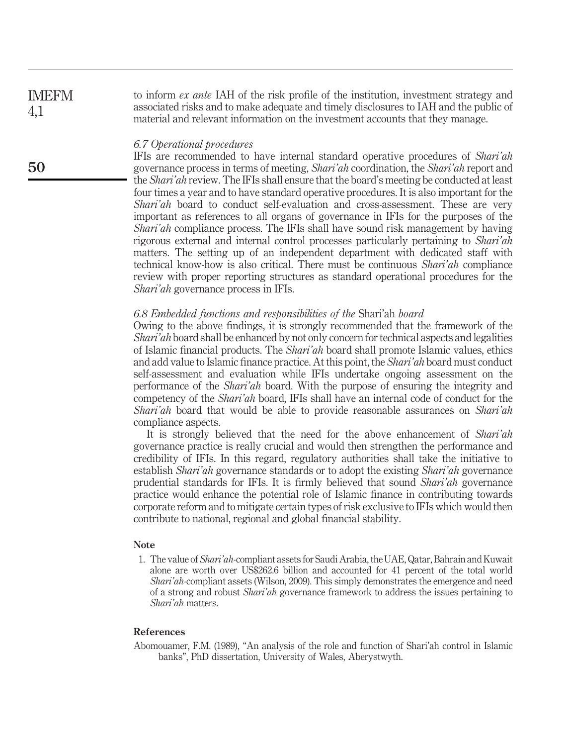to inform ex ante IAH of the risk profile of the institution, investment strategy and associated risks and to make adequate and timely disclosures to IAH and the public of material and relevant information on the investment accounts that they manage. IMEFM 4,1

#### 6.7 Operational procedures

IFIs are recommended to have internal standard operative procedures of Shari'ah governance process in terms of meeting, Shari'ah coordination, the Shari'ah report and the Shari'ah review. The IFIs shall ensure that the board's meeting be conducted at least four times a year and to have standard operative procedures. It is also important for the Shari'ah board to conduct self-evaluation and cross-assessment. These are very important as references to all organs of governance in IFIs for the purposes of the Shari'ah compliance process. The IFIs shall have sound risk management by having rigorous external and internal control processes particularly pertaining to Shari'ah matters. The setting up of an independent department with dedicated staff with technical know-how is also critical. There must be continuous Shari'ah compliance review with proper reporting structures as standard operational procedures for the Shari'ah governance process in IFIs.

#### 6.8 Embedded functions and responsibilities of the Shari'ah board

Owing to the above findings, it is strongly recommended that the framework of the Shari'ah board shall be enhanced by not only concern for technical aspects and legalities of Islamic financial products. The Shari'ah board shall promote Islamic values, ethics and add value to Islamic finance practice. At this point, the *Shari'ah* board must conduct self-assessment and evaluation while IFIs undertake ongoing assessment on the performance of the Shari'ah board. With the purpose of ensuring the integrity and competency of the Shari'ah board, IFIs shall have an internal code of conduct for the Shari'ah board that would be able to provide reasonable assurances on Shari'ah compliance aspects.

It is strongly believed that the need for the above enhancement of *Shari'ah* governance practice is really crucial and would then strengthen the performance and credibility of IFIs. In this regard, regulatory authorities shall take the initiative to establish Shari'ah governance standards or to adopt the existing Shari'ah governance prudential standards for IFIs. It is firmly believed that sound Shari'ah governance practice would enhance the potential role of Islamic finance in contributing towards corporate reform and to mitigate certain types of risk exclusive to IFIs which would then contribute to national, regional and global financial stability.

# Note

1. The value of Shari'ah-compliant assets for Saudi Arabia, the UAE, Qatar, Bahrain and Kuwait alone are worth over US\$262.6 billion and accounted for 41 percent of the total world Shari'ah-compliant assets (Wilson, 2009). This simply demonstrates the emergence and need of a strong and robust Shari'ah governance framework to address the issues pertaining to Shari'ah matters.

#### References

Abomouamer, F.M. (1989), "An analysis of the role and function of Shari'ah control in Islamic banks", PhD dissertation, University of Wales, Aberystwyth.